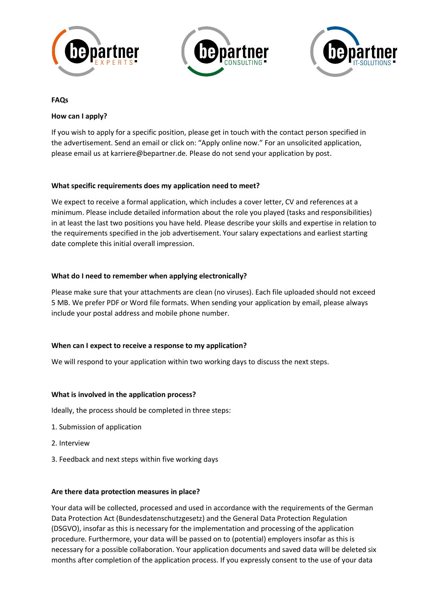





## **FAQs**

# **How can I apply?**

If you wish to apply for a specific position, please get in touch with the contact person specified in the advertisement. Send an email or click on: "Apply online now." For an unsolicited application, please email us at karriere@bepartner.de. Please do not send your application by post.

## **What specific requirements does my application need to meet?**

We expect to receive a formal application, which includes a cover letter, CV and references at a minimum. Please include detailed information about the role you played (tasks and responsibilities) in at least the last two positions you have held. Please describe your skills and expertise in relation to the requirements specified in the job advertisement. Your salary expectations and earliest starting date complete this initial overall impression.

## **What do I need to remember when applying electronically?**

Please make sure that your attachments are clean (no viruses). Each file uploaded should not exceed 5 MB. We prefer PDF or Word file formats. When sending your application by email, please always include your postal address and mobile phone number.

# **When can I expect to receive a response to my application?**

We will respond to your application within two working days to discuss the next steps.

# **What is involved in the application process?**

Ideally, the process should be completed in three steps:

- 1. Submission of application
- 2. Interview
- 3. Feedback and next steps within five working days

#### **Are there data protection measures in place?**

Your data will be collected, processed and used in accordance with the requirements of the German Data Protection Act (Bundesdatenschutzgesetz) and the General Data Protection Regulation (DSGVO), insofar as this is necessary for the implementation and processing of the application procedure. Furthermore, your data will be passed on to (potential) employers insofar as this is necessary for a possible collaboration. Your application documents and saved data will be deleted six months after completion of the application process. If you expressly consent to the use of your data